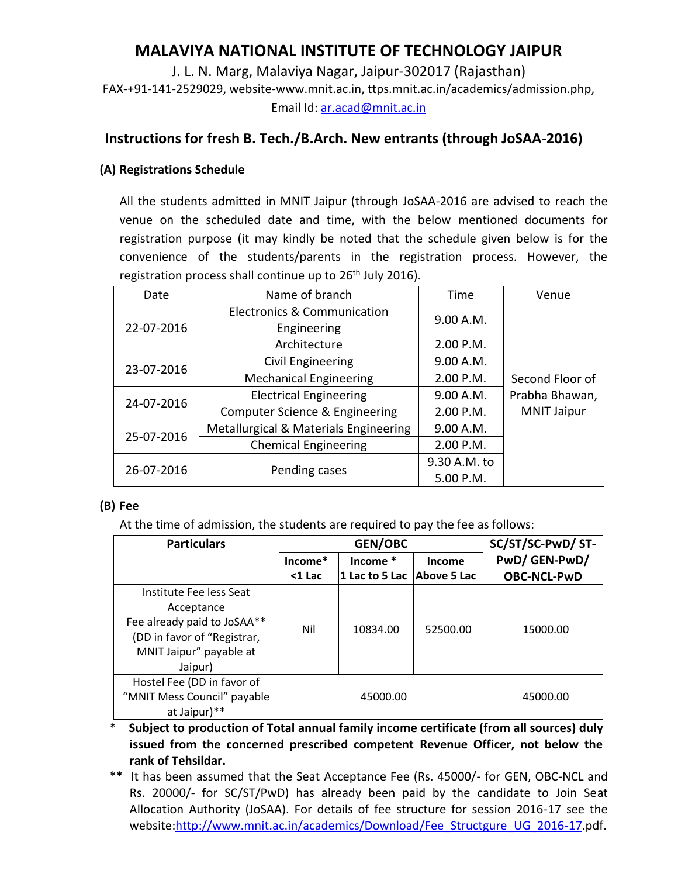# **MALAVIYA NATIONAL INSTITUTE OF TECHNOLOGY JAIPUR**

J. L. N. Marg, Malaviya Nagar, Jaipur-302017 (Rajasthan) FAX-+91-141-2529029, website-www.mnit.ac.in, ttps.mnit.ac.in/academics/admission.php, Email Id: [ar.acad@mnit.ac.in](mailto:ar.acad@mnit.ac.in)

# **Instructions for fresh B. Tech./B.Arch. New entrants (through JoSAA-2016)**

## **(A) Registrations Schedule**

All the students admitted in MNIT Jaipur (through JoSAA-2016 are advised to reach the venue on the scheduled date and time, with the below mentioned documents for registration purpose (it may kindly be noted that the schedule given below is for the convenience of the students/parents in the registration process. However, the registration process shall continue up to 26<sup>th</sup> July 2016).

| Date       | Name of branch                        | Time         | Venue              |
|------------|---------------------------------------|--------------|--------------------|
| 22-07-2016 | Electronics & Communication           | 9.00 A.M.    |                    |
|            | Engineering                           |              |                    |
|            | Architecture                          | 2.00 P.M.    |                    |
| 23-07-2016 | Civil Engineering                     | 9.00 A.M.    | Second Floor of    |
|            | <b>Mechanical Engineering</b>         | 2.00 P.M.    |                    |
| 24-07-2016 | <b>Electrical Engineering</b>         | 9.00 A.M.    | Prabha Bhawan,     |
|            | Computer Science & Engineering        | 2.00 P.M.    | <b>MNIT Jaipur</b> |
| 25-07-2016 | Metallurgical & Materials Engineering | 9.00 A.M.    |                    |
|            | <b>Chemical Engineering</b>           | 2.00 P.M.    |                    |
| 26-07-2016 | Pending cases                         | 9.30 A.M. to |                    |
|            |                                       | 5.00 P.M.    |                    |

#### **(B) Fee**

At the time of admission, the students are required to pay the fee as follows:

| <b>Particulars</b>                                                                                                             | <b>GEN/OBC</b> |                |                    | SC/ST/SC-PwD/ ST-  |
|--------------------------------------------------------------------------------------------------------------------------------|----------------|----------------|--------------------|--------------------|
|                                                                                                                                | $Income*$      | Income $*$     | Income             | PwD/GEN-PwD/       |
|                                                                                                                                | $<$ 1 Lac      | 1 Lac to 5 Lac | <b>Above 5 Lac</b> | <b>OBC-NCL-PwD</b> |
| Institute Fee less Seat<br>Acceptance<br>Fee already paid to JoSAA**<br>(DD in favor of "Registrar,<br>MNIT Jaipur" payable at | Nil            | 10834.00       | 52500.00           | 15000.00           |
| Jaipur)                                                                                                                        |                |                |                    |                    |
| Hostel Fee (DD in favor of<br>"MNIT Mess Council" payable<br>at Jaipur)**                                                      | 45000.00       |                |                    | 45000.00           |

\* **Subject to production of Total annual family income certificate (from all sources) duly issued from the concerned prescribed competent Revenue Officer, not below the rank of Tehsildar.**

\*\* It has been assumed that the Seat Acceptance Fee (Rs. 45000/- for GEN, OBC-NCL and Rs. 20000/- for SC/ST/PwD) has already been paid by the candidate to Join Seat Allocation Authority (JoSAA). For details of fee structure for session 2016-17 see the website:http://www.mnit.ac.in/academics/Download/Fee Structgure UG 2016-17.pdf.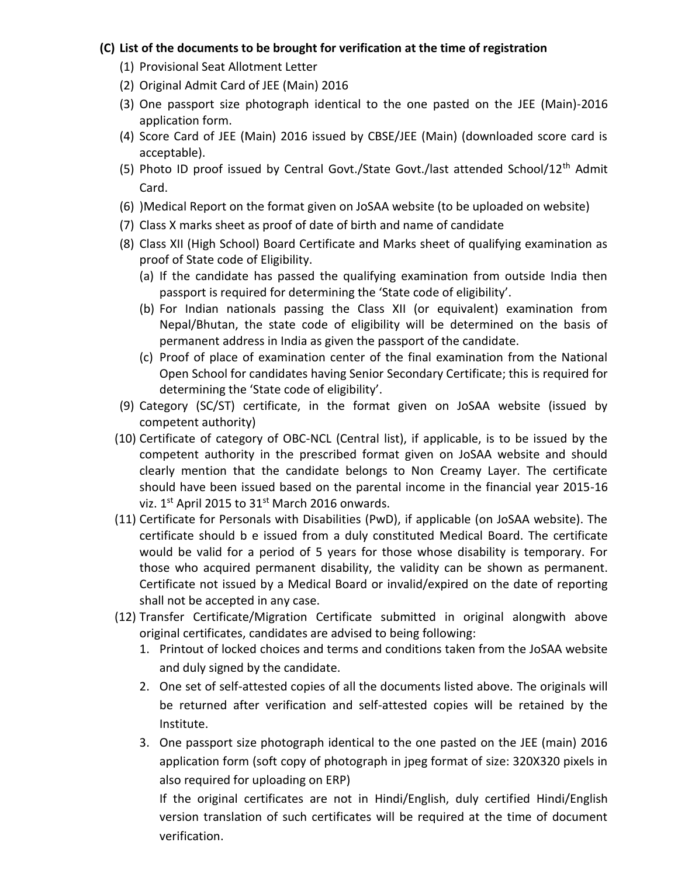## **(C) List of the documents to be brought for verification at the time of registration**

- (1) Provisional Seat Allotment Letter
- (2) Original Admit Card of JEE (Main) 2016
- (3) One passport size photograph identical to the one pasted on the JEE (Main)-2016 application form.
- (4) Score Card of JEE (Main) 2016 issued by CBSE/JEE (Main) (downloaded score card is acceptable).
- (5) Photo ID proof issued by Central Govt./State Govt./last attended School/12th Admit Card.
- (6) )Medical Report on the format given on JoSAA website (to be uploaded on website)
- (7) Class X marks sheet as proof of date of birth and name of candidate
- (8) Class XII (High School) Board Certificate and Marks sheet of qualifying examination as proof of State code of Eligibility.
	- (a) If the candidate has passed the qualifying examination from outside India then passport is required for determining the 'State code of eligibility'.
	- (b) For Indian nationals passing the Class XII (or equivalent) examination from Nepal/Bhutan, the state code of eligibility will be determined on the basis of permanent address in India as given the passport of the candidate.
	- (c) Proof of place of examination center of the final examination from the National Open School for candidates having Senior Secondary Certificate; this is required for determining the 'State code of eligibility'.
- (9) Category (SC/ST) certificate, in the format given on JoSAA website (issued by competent authority)
- (10) Certificate of category of OBC-NCL (Central list), if applicable, is to be issued by the competent authority in the prescribed format given on JoSAA website and should clearly mention that the candidate belongs to Non Creamy Layer. The certificate should have been issued based on the parental income in the financial year 2015-16 viz.  $1^{st}$  April 2015 to 31st March 2016 onwards.
- (11) Certificate for Personals with Disabilities (PwD), if applicable (on JoSAA website). The certificate should b e issued from a duly constituted Medical Board. The certificate would be valid for a period of 5 years for those whose disability is temporary. For those who acquired permanent disability, the validity can be shown as permanent. Certificate not issued by a Medical Board or invalid/expired on the date of reporting shall not be accepted in any case.
- (12) Transfer Certificate/Migration Certificate submitted in original alongwith above original certificates, candidates are advised to being following:
	- 1. Printout of locked choices and terms and conditions taken from the JoSAA website and duly signed by the candidate.
	- 2. One set of self-attested copies of all the documents listed above. The originals will be returned after verification and self-attested copies will be retained by the Institute.
	- 3. One passport size photograph identical to the one pasted on the JEE (main) 2016 application form (soft copy of photograph in jpeg format of size: 320X320 pixels in also required for uploading on ERP)

If the original certificates are not in Hindi/English, duly certified Hindi/English version translation of such certificates will be required at the time of document verification.